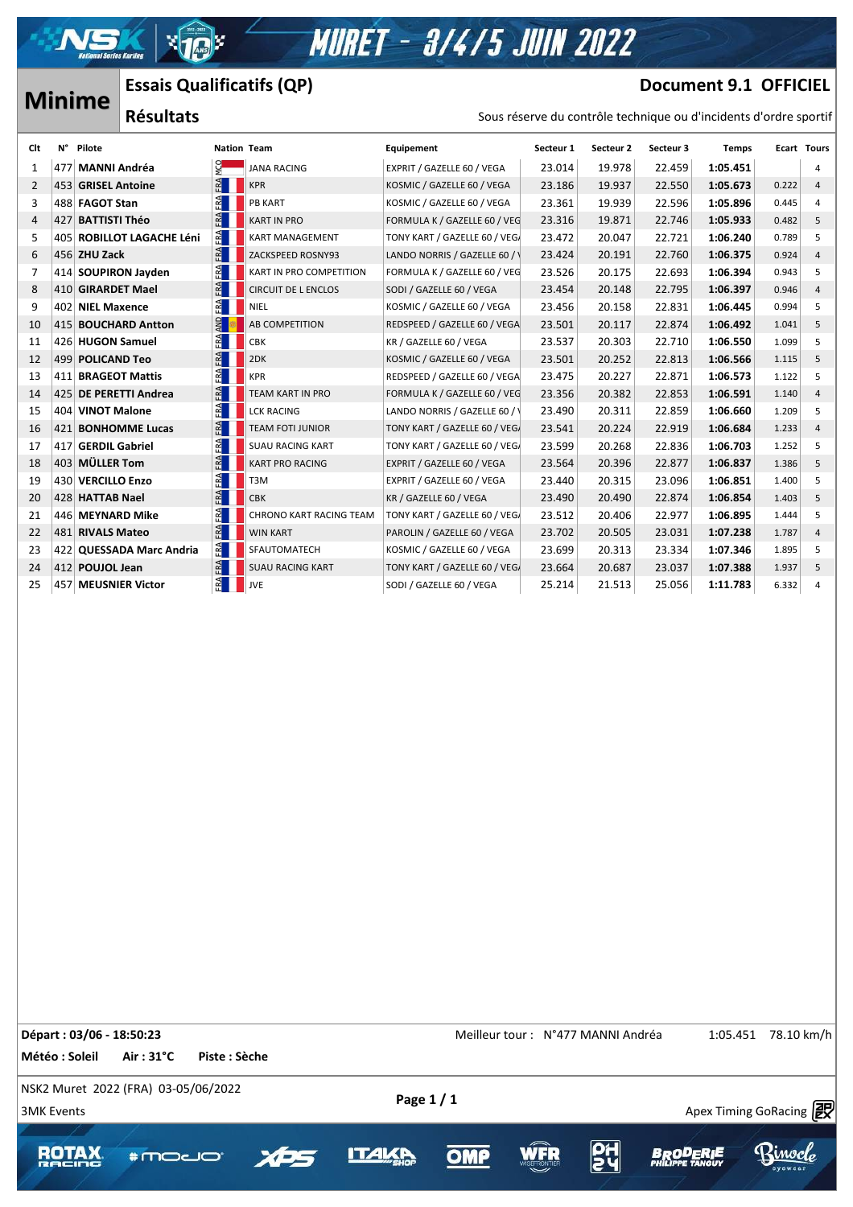**MURET - 3/4/5 JUIN 2022** 

### **Minime Essais Qualificatifs (QP) Résultats**

## **Document 9.1 OFFICIEL**

| <b>Minime</b>  |    |                     | LSSAIS QUAIIIICALIIS (QF)<br>DOCUMENT 3'T ALLICITE |     |                                |                               |           |           |           |                                                                   |       |                    |
|----------------|----|---------------------|----------------------------------------------------|-----|--------------------------------|-------------------------------|-----------|-----------|-----------|-------------------------------------------------------------------|-------|--------------------|
|                |    |                     | <b>Résultats</b>                                   |     |                                |                               |           |           |           | Sous réserve du contrôle technique ou d'incidents d'ordre sportif |       |                    |
| Clt            | N° | Pilote              |                                                    |     | <b>Nation Team</b>             | Equipement                    | Secteur 1 | Secteur 2 | Secteur 3 | Temps                                                             |       | <b>Ecart Tours</b> |
| 1              |    | 477 MANNI Andréa    |                                                    | ò.  | <b>JANA RACING</b>             | EXPRIT / GAZELLE 60 / VEGA    | 23.014    | 19.978    | 22.459    | 1:05.451                                                          |       | 4                  |
| $\overline{2}$ |    | 453 GRISEL Antoine  |                                                    | FA  | <b>KPR</b>                     | KOSMIC / GAZELLE 60 / VEGA    | 23.186    | 19.937    | 22.550    | 1:05.673                                                          | 0.222 | $\overline{4}$     |
| 3              |    | 488 FAGOT Stan      |                                                    | FA  | <b>PB KART</b>                 | KOSMIC / GAZELLE 60 / VEGA    | 23.361    | 19.939    | 22.596    | 1:05.896                                                          | 0.445 | 4                  |
| 4              |    | 427 BATTISTI Théo   |                                                    | FA  | <b>KART IN PRO</b>             | FORMULA K / GAZELLE 60 / VEG  | 23.316    | 19.871    | 22.746    | 1:05.933                                                          | 0.482 | 5                  |
| 5              |    |                     | 405 ROBILLOT LAGACHE Léni                          | FRA | <b>KART MANAGEMENT</b>         | TONY KART / GAZELLE 60 / VEG/ | 23.472    | 20.047    | 22.721    | 1:06.240                                                          | 0.789 | 5                  |
| 6              |    | 456 ZHU Zack        |                                                    | FRA | ZACKSPEED ROSNY93              | LANDO NORRIS / GAZELLE 60 / \ | 23.424    | 20.191    | 22.760    | 1:06.375                                                          | 0.924 | $\overline{4}$     |
| 7              |    |                     | 414 SOUPIRON Jayden                                | FAA | KART IN PRO COMPETITION        | FORMULA K / GAZELLE 60 / VEG  | 23.526    | 20.175    | 22.693    | 1:06.394                                                          | 0.943 | 5                  |
| 8              |    | 410 GIRARDET Mael   |                                                    | FA  | <b>CIRCUIT DE L ENCLOS</b>     | SODI / GAZELLE 60 / VEGA      | 23.454    | 20.148    | 22.795    | 1:06.397                                                          | 0.946 | $\overline{4}$     |
| 9              |    | 402 NIEL Maxence    |                                                    | FA  | NIEL                           | KOSMIC / GAZELLE 60 / VEGA    | 23.456    | 20.158    | 22.831    | 1:06.445                                                          | 0.994 | 5                  |
| 10             |    |                     | 415 BOUCHARD Antton                                |     | AB COMPETITION                 | REDSPEED / GAZELLE 60 / VEGA  | 23.501    | 20.117    | 22.874    | 1:06.492                                                          | 1.041 | 5                  |
| 11             |    | 426 HUGON Samuel    |                                                    | FA  | <b>CBK</b>                     | KR / GAZELLE 60 / VEGA        | 23.537    | 20.303    | 22.710    | 1:06.550                                                          | 1.099 | 5                  |
| 12             |    | 499 POLICAND Teo    |                                                    | FA  | 2DK                            | KOSMIC / GAZELLE 60 / VEGA    | 23.501    | 20.252    | 22.813    | 1:06.566                                                          | 1.115 | 5                  |
| 13             |    | 411 BRAGEOT Mattis  |                                                    | FA  | <b>KPR</b>                     | REDSPEED / GAZELLE 60 / VEGA  | 23.475    | 20.227    | 22.871    | 1:06.573                                                          | 1.122 | 5                  |
| 14             |    |                     | 425 DE PERETTI Andrea                              | FA  | TEAM KART IN PRO               | FORMULA K / GAZELLE 60 / VEG  | 23.356    | 20.382    | 22.853    | 1:06.591                                                          | 1.140 | $\overline{4}$     |
| 15             |    | 404 VINOT Malone    |                                                    | FA  | <b>LCK RACING</b>              | LANDO NORRIS / GAZELLE 60 / \ | 23.490    | 20.311    | 22.859    | 1:06.660                                                          | 1.209 | 5                  |
| 16             |    |                     | 421 BONHOMME Lucas                                 | FA  | <b>TEAM FOTI JUNIOR</b>        | TONY KART / GAZELLE 60 / VEG/ | 23.541    | 20.224    | 22.919    | 1:06.684                                                          | 1.233 | $\overline{4}$     |
| 17             |    | 417 GERDIL Gabriel  |                                                    | FA  | <b>SUAU RACING KART</b>        | TONY KART / GAZELLE 60 / VEG/ | 23.599    | 20.268    | 22.836    | 1:06.703                                                          | 1.252 | 5                  |
| 18             |    | 403 MÜLLER Tom      |                                                    | FA  | <b>KART PRO RACING</b>         | EXPRIT / GAZELLE 60 / VEGA    | 23.564    | 20.396    | 22.877    | 1:06.837                                                          | 1.386 | 5                  |
| 19             |    | 430 VERCILLO Enzo   |                                                    | FA  | T <sub>3</sub> M               | EXPRIT / GAZELLE 60 / VEGA    | 23.440    | 20.315    | 23.096    | 1:06.851                                                          | 1.400 | 5                  |
| 20             |    | 428 HATTAB Nael     |                                                    | FA  | <b>CBK</b>                     | KR / GAZELLE 60 / VEGA        | 23.490    | 20.490    | 22.874    | 1:06.854                                                          | 1.403 | 5                  |
| 21             |    | 446 MEYNARD Mike    |                                                    | FA  | <b>CHRONO KART RACING TEAM</b> | TONY KART / GAZELLE 60 / VEGA | 23.512    | 20.406    | 22.977    | 1:06.895                                                          | 1.444 | 5                  |
| 22             |    | 481 RIVALS Mateo    |                                                    | FA  | <b>WIN KART</b>                | PAROLIN / GAZELLE 60 / VEGA   | 23.702    | 20.505    | 23.031    | 1:07.238                                                          | 1.787 | $\overline{4}$     |
| 23             |    |                     | 422 QUESSADA Marc Andria                           | ER. | SFAUTOMATECH                   | KOSMIC / GAZELLE 60 / VEGA    | 23.699    | 20.313    | 23.334    | 1:07.346                                                          | 1.895 | 5                  |
| 24             |    | 412 POUJOL Jean     |                                                    | FA  | <b>SUAU RACING KART</b>        | TONY KART / GAZELLE 60 / VEG/ | 23.664    | 20.687    | 23.037    | 1:07.388                                                          | 1.937 | 5                  |
| 25             |    | 457 MEUSNIER Victor |                                                    |     | JVE                            | SODI / GAZELLE 60 / VEGA      | 25.214    | 21.513    | 25.056    | 1:11.783                                                          | 6.332 | 4                  |

**Départ : 03/06 - 18:50:23 18:50:23** Theilleur tour : N°477 MANNI Andréa 1:05.451 78.10 km/h **Météo : Soleil Air : 31°C Piste : Sèche** NSK2 Muret 2022 (FRA) 03-05/06/2022  $\frac{1}{3}$  3MK Events Apex Timing GoRacing  $\frac{1}{2}$ **ROTA \*moco** OMP

 $\mathcal{A}$  , and  $\mathcal{A}$  approximately success https://www.apex-timing.com/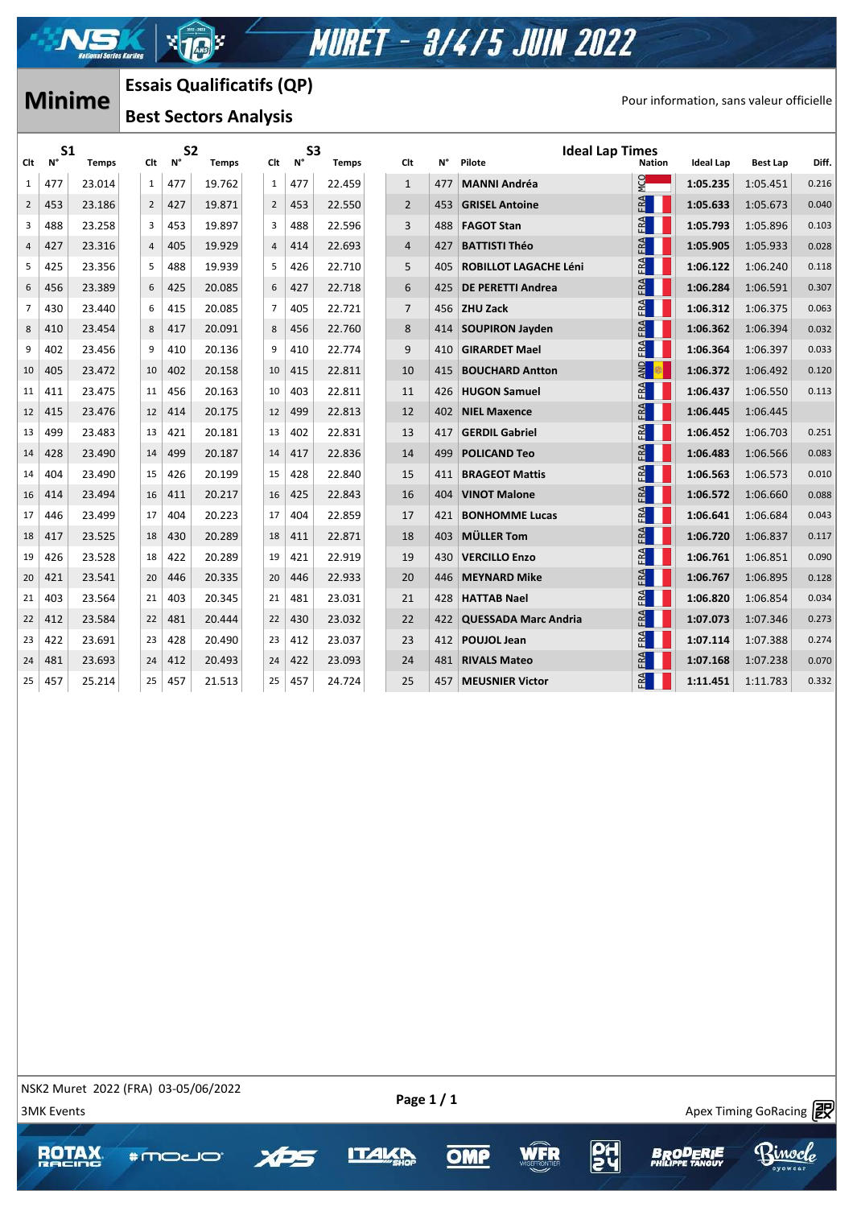

-xk

| <b>Minime</b>  |                      |              |                              | <b>Essais Qualificatifs (QP)</b> |              |  |                |                      |              |                |     |                                  |                                          |           |                 |       |
|----------------|----------------------|--------------|------------------------------|----------------------------------|--------------|--|----------------|----------------------|--------------|----------------|-----|----------------------------------|------------------------------------------|-----------|-----------------|-------|
|                |                      |              | <b>Best Sectors Analysis</b> |                                  |              |  |                |                      |              |                |     |                                  | Pour information, sans valeur officielle |           |                 |       |
| Clt            | S <sub>1</sub><br>N° | <b>Temps</b> | Clt                          | S <sub>2</sub><br>N°             | <b>Temps</b> |  | Clt            | S <sub>3</sub><br>N° | <b>Temps</b> | Clt            | N°  | <b>Ideal Lap Times</b><br>Pilote | <b>Nation</b>                            | Ideal Lap | <b>Best Lap</b> | Diff. |
| 1              | 477                  | 23.014       | $\mathbf{1}$                 | 477                              | 19.762       |  | $\mathbf{1}$   | 477                  | 22.459       | $\mathbf{1}$   | 477 | <b>MANNI Andréa</b>              | ρ<br>Σ                                   | 1:05.235  | 1:05.451        | 0.216 |
| $\overline{2}$ | 453                  | 23.186       | $\overline{2}$               | 427                              | 19.871       |  | $\overline{2}$ | 453                  | 22.550       | $\overline{2}$ | 453 | <b>GRISEL Antoine</b>            | FRA                                      | 1:05.633  | 1:05.673        | 0.040 |
| 3              | 488                  | 23.258       | 3                            | 453                              | 19.897       |  | 3              | 488                  | 22.596       | 3              | 488 | <b>FAGOT Stan</b>                | FA                                       | 1:05.793  | 1:05.896        | 0.103 |
| 4              | 427                  | 23.316       | $\overline{4}$               | 405                              | 19.929       |  | $\overline{4}$ | 414                  | 22.693       | $\overline{4}$ | 427 | <b>BATTISTI Théo</b>             | FRA                                      | 1:05.905  | 1:05.933        | 0.028 |
| 5              | 425                  | 23.356       | 5                            | 488                              | 19.939       |  | -5             | 426                  | 22.710       | 5              | 405 | <b>ROBILLOT LAGACHE Léni</b>     | FA                                       | 1:06.122  | 1:06.240        | 0.118 |
| 6              | 456                  | 23.389       | 6                            | 425                              | 20.085       |  | 6              | 427                  | 22.718       | 6              | 425 | <b>DE PERETTI Andrea</b>         | FRA                                      | 1:06.284  | 1:06.591        | 0.307 |
| $\overline{7}$ | 430                  | 23.440       | 6                            | 415                              | 20.085       |  | $\overline{7}$ | 405                  | 22.721       | $\overline{7}$ | 456 | <b>ZHU Zack</b>                  | FA                                       | 1:06.312  | 1:06.375        | 0.063 |
| 8              | 410                  | 23.454       | 8                            | 417                              | 20.091       |  | 8              | 456                  | 22.760       | 8              | 414 | <b>SOUPIRON Jayden</b>           | FRA                                      | 1:06.362  | 1:06.394        | 0.032 |
| 9              | 402                  | 23.456       | 9                            | 410                              | 20.136       |  | 9              | 410                  | 22.774       | 9              | 410 | <b>GIRARDET Mael</b>             | FRA                                      | 1:06.364  | 1:06.397        | 0.033 |
| 10             | 405                  | 23.472       | 10                           | 402                              | 20.158       |  | 10             | 415                  | 22.811       | 10             | 415 | <b>BOUCHARD Antton</b>           | $\frac{1}{2}$                            | 1:06.372  | 1:06.492        | 0.120 |
| 11             | 411                  | 23.475       | 11                           | 456                              | 20.163       |  | 10             | 403                  | 22.811       | 11             | 426 | <b>HUGON Samuel</b>              | FA                                       | 1:06.437  | 1:06.550        | 0.113 |
| 12             | 415                  | 23.476       | 12                           | 414                              | 20.175       |  | 12             | 499                  | 22.813       | 12             | 402 | <b>NIEL Maxence</b>              | FA                                       | 1:06.445  | 1:06.445        |       |
| 13             | 499                  | 23.483       | 13                           | 421                              | 20.181       |  | 13             | 402                  | 22.831       | 13             | 417 | <b>GERDIL Gabriel</b>            | FRA                                      | 1:06.452  | 1:06.703        | 0.251 |
| 14             | 428                  | 23.490       | 14                           | 499                              | 20.187       |  | 14             | 417                  | 22.836       | 14             | 499 | <b>POLICAND Teo</b>              | FRA                                      | 1:06.483  | 1:06.566        | 0.083 |
| 14             | 404                  | 23.490       | 15                           | 426                              | 20.199       |  | 15             | 428                  | 22.840       | 15             | 411 | <b>BRAGEOT Mattis</b>            | FA                                       | 1:06.563  | 1:06.573        | 0.010 |
| 16             | 414                  | 23.494       | 16                           | 411                              | 20.217       |  | 16             | 425                  | 22.843       | 16             | 404 | <b>VINOT Malone</b>              | FA                                       | 1:06.572  | 1:06.660        | 0.088 |
| 17             | 446                  | 23.499       | 17                           | 404                              | 20.223       |  | 17             | 404                  | 22.859       | 17             | 421 | <b>BONHOMME Lucas</b>            | FRA                                      | 1:06.641  | 1:06.684        | 0.043 |
| 18             | 417                  | 23.525       | 18                           | 430                              | 20.289       |  | 18             | 411                  | 22.871       | 18             | 403 | <b>MÜLLER Tom</b>                | FRA                                      | 1:06.720  | 1:06.837        | 0.117 |
| 19             | 426                  | 23.528       | 18                           | 422                              | 20.289       |  | 19             | 421                  | 22.919       | 19             | 430 | <b>VERCILLO Enzo</b>             | FRA                                      | 1:06.761  | 1:06.851        | 0.090 |
| 20             | 421                  | 23.541       | 20                           | 446                              | 20.335       |  | 20             | 446                  | 22.933       | 20             | 446 | <b>MEYNARD Mike</b>              | FRA                                      | 1:06.767  | 1:06.895        | 0.128 |
| 21             | 403                  | 23.564       | 21                           | 403                              | 20.345       |  | 21             | 481                  | 23.031       | 21             | 428 | <b>HATTAB Nael</b>               | FRA                                      | 1:06.820  | 1:06.854        | 0.034 |
| 22             | 412                  | 23.584       | 22                           | 481                              | 20.444       |  | 22             | 430                  | 23.032       | 22             | 422 | <b>QUESSADA Marc Andria</b>      | FRA                                      | 1:07.073  | 1:07.346        | 0.273 |
| 23             | 422                  | 23.691       | 23                           | 428                              | 20.490       |  | 23             | 412                  | 23.037       | 23             | 412 | <b>POUJOL Jean</b>               | FA                                       | 1:07.114  | 1:07.388        | 0.274 |
| 24             | 481                  | 23.693       | 24                           | 412                              | 20.493       |  | 24             | 422                  | 23.093       | 24             | 481 | <b>RIVALS Mateo</b>              | FRA                                      | 1:07.168  | 1:07.238        | 0.070 |
| 25             | 457                  | 25.214       | 25                           | 457                              | 21.513       |  | 25             | 457                  | 24.724       | 25             | 457 | <b>MEUSNIER Victor</b>           | FRA                                      | 1:11.451  | 1:11.783        | 0.332 |

NSK2 Muret 2022 (FRA) 03-05/06/2022

**OMP** 

**ITAL** 

 $\frac{30}{20}$  and  $\frac{30}{20}$  and  $\frac{30}{20}$  and  $\frac{30}{20}$  and  $\frac{30}{20}$  and  $\frac{30}{20}$  and  $\frac{30}{20}$  and  $\frac{30}{20}$  and  $\frac{30}{20}$  and  $\frac{30}{20}$  and  $\frac{30}{20}$  and  $\frac{30}{20}$  and  $\frac{30}{20}$  and  $\frac{30}{20}$  a

nocl



 $\mathcal{A}$  , and  $\mathcal{A}$  approximately success https://www.apex-timing.com/



**BoOD** 

**WFR**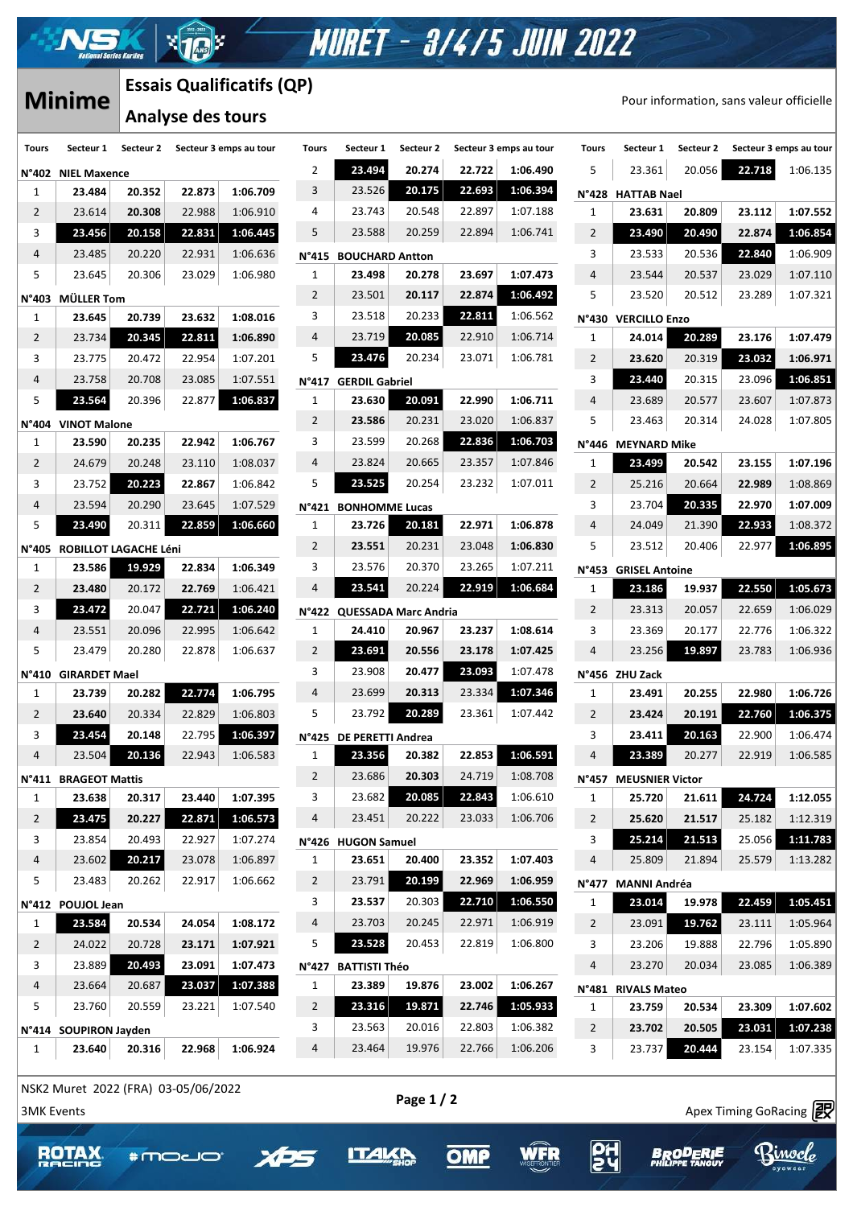# **Essais Qualificatifs (QP)**

 $\sqrt{10}$ 

|                | <b>Minime</b>                    | LSSAIS QUAIIIICALIIS (QF) |        |                        |                         |  |  |  |  |
|----------------|----------------------------------|---------------------------|--------|------------------------|-------------------------|--|--|--|--|
|                |                                  | <b>Analyse des tours</b>  |        |                        |                         |  |  |  |  |
| <b>Tours</b>   | Secteur 1                        | Secteur 2                 |        | Secteur 3 emps au tour | Tou                     |  |  |  |  |
| N°402          | <b>NIEL Maxence</b>              |                           |        |                        | 2                       |  |  |  |  |
| 1              | 23.484                           | 20.352                    | 22.873 | 1:06.709               | 3                       |  |  |  |  |
| 2              | 23.614                           | 20.308                    | 22.988 | 1:06.910               | 4                       |  |  |  |  |
| 3              | 23.456                           | 20.158                    | 22.831 | 1:06.445               | 5                       |  |  |  |  |
| 4              | 23.485                           | 20.220                    | 22.931 | 1:06.636               | N°4                     |  |  |  |  |
| 5              | 23.645                           | 20.306                    | 23.029 | 1:06.980               | 1                       |  |  |  |  |
| N°403          | <b>MÜLLER Tom</b>                |                           |        |                        | $\overline{2}$          |  |  |  |  |
| 1              | 23.645                           | 20.739                    | 23.632 | 1:08.016               | 3                       |  |  |  |  |
| 2              | 23.734                           | 20.345                    | 22.811 | 1:06.890               | 4                       |  |  |  |  |
| 3              | 23.775                           | 20.472                    | 22.954 | 1:07.201               | 5                       |  |  |  |  |
| 4              | 23.758                           | 20.708                    | 23.085 | 1:07.551               | N°4                     |  |  |  |  |
| 5              | 23.564                           | 20.396                    | 22.877 | 1:06.837               | 1                       |  |  |  |  |
| N°404          | <b>VINOT Malone</b>              |                           |        |                        | $\overline{2}$          |  |  |  |  |
| 1              | 23.590                           | 20.235                    | 22.942 | 1:06.767               | 3                       |  |  |  |  |
| 2              | 24.679                           | 20.248                    | 23.110 | 1:08.037               | 4                       |  |  |  |  |
| 3              | 23.752                           | 20.223                    | 22.867 | 1:06.842               | 5                       |  |  |  |  |
| $\overline{4}$ | 23.594                           | 20.290                    | 23.645 | 1:07.529               | N°4                     |  |  |  |  |
| 5              | 23.490                           | 20.311                    | 22.859 | 1:06.660               | 1                       |  |  |  |  |
| N°405          | ROBILLOT LAGACHE Léni            |                           |        |                        | 2                       |  |  |  |  |
| 1              | 23.586                           | 19.929                    | 22.834 | 1:06.349               | 3                       |  |  |  |  |
| 2              | 23.480                           | 20.172                    | 22.769 | 1:06.421               | 4                       |  |  |  |  |
| 3              | 23.472                           | 20.047                    | 22.721 | 1:06.240               | N°4                     |  |  |  |  |
| 4              | 23.551                           | 20.096                    | 22.995 | 1:06.642               | 1                       |  |  |  |  |
| 5              | 23.479                           | 20.280                    | 22.878 | 1:06.637               | 2                       |  |  |  |  |
| N°410          | <b>GIRARDET Mael</b>             |                           |        |                        | 3                       |  |  |  |  |
| 1              | 23.739                           | 20.282                    | 22.774 | 1:06.795               | 4                       |  |  |  |  |
| 2              | 23.640                           | 20.334                    | 22.829 | 1:06.803               | 5                       |  |  |  |  |
| 3              | 23.454                           | 20.148                    | 22.795 | 1:06.397               | N°4                     |  |  |  |  |
| 4              | 23.504                           | 20.136                    | 22.943 | 1:06.583               | 1                       |  |  |  |  |
| N°411          | <b>BRAGEOT Mattis</b>            |                           |        |                        | $\overline{\mathbf{c}}$ |  |  |  |  |
| 1              | 23.638                           | 20.317                    | 23.440 | 1:07.395               | 3                       |  |  |  |  |
| 2              | 23.475                           | 20.227                    | 22.871 | 1:06.573               | 4                       |  |  |  |  |
| 3              | 23.854                           | 20.493                    | 22.927 | 1:07.274               | N°4                     |  |  |  |  |
| 4              | 23.602                           | 20.217                    | 23.078 | 1:06.897               | 1                       |  |  |  |  |
| 5              | 23.483                           | 20.262                    | 22.917 | 1:06.662               | 2                       |  |  |  |  |
| N°412          | <b>POUJOL Jean</b>               |                           |        |                        | 3                       |  |  |  |  |
| 1              | 23.584                           | 20.534                    | 24.054 | 1:08.172               | 4                       |  |  |  |  |
| 2              | 24.022                           | 20.728                    | 23.171 | 1:07.921               | 5                       |  |  |  |  |
| 3              | 23.889                           | 20.493                    | 23.091 | 1:07.473               | N°4                     |  |  |  |  |
| 4              | 23.664                           | 20.687                    | 23.037 | 1:07.388               | 1                       |  |  |  |  |
| 5              | 23.760                           | 20.559                    | 23.221 | 1:07.540               | $\overline{c}$          |  |  |  |  |
|                |                                  |                           |        |                        | 3                       |  |  |  |  |
| N°414<br>1     | <b>SOUPIRON Jayden</b><br>23.640 | 20.316                    | 22.968 | 1:06.924               | 4                       |  |  |  |  |
|                |                                  |                           |        |                        |                         |  |  |  |  |

| <b>Minime</b>  |                              |           | Lɔɔaɪɔ Quaiiiicatiiɔ (Qr / |                        |                       |                                 |           |        |                        |                |                       | Pour information, sans valeur officielle |        |                        |  |  |  |
|----------------|------------------------------|-----------|----------------------------|------------------------|-----------------------|---------------------------------|-----------|--------|------------------------|----------------|-----------------------|------------------------------------------|--------|------------------------|--|--|--|
|                |                              |           | <b>Analyse des tours</b>   |                        |                       |                                 |           |        |                        |                |                       |                                          |        |                        |  |  |  |
| Tours          | Secteur 1                    | Secteur 2 |                            | Secteur 3 emps au tour | <b>Tours</b>          | Secteur 1                       | Secteur 2 |        | Secteur 3 emps au tour | <b>Tours</b>   | Secteur 1             | Secteur 2                                |        | Secteur 3 emps au tour |  |  |  |
|                | <b>J°402 NIEL Maxence</b>    |           |                            |                        | 2                     | 23.494                          | 20.274    | 22.722 | 1:06.490               | 5              | 23.361                | 20.056                                   | 22.718 | 1:06.135               |  |  |  |
| 1              | 23.484                       | 20.352    | 22.873                     | 1:06.709               | 3                     | 23.526                          | 20.175    | 22.693 | 1:06.394               |                | N°428 HATTAB Nael     |                                          |        |                        |  |  |  |
| $\overline{2}$ | 23.614                       | 20.308    | 22.988                     | 1:06.910               | 4                     | 23.743                          | 20.548    | 22.897 | 1:07.188               | 1              | 23.631                | 20.809                                   | 23.112 | 1:07.552               |  |  |  |
| 3              | 23.456                       | 20.158    | 22.831                     | 1:06.445               | 5                     | 23.588                          | 20.259    | 22.894 | 1:06.741               | $\overline{2}$ | 23.490                | 20.490                                   | 22.874 | 1:06.854               |  |  |  |
| 4              | 23.485                       | 20.220    | 22.931                     | 1:06.636               | N°415                 | <b>BOUCHARD Antton</b>          |           |        |                        | 3              | 23.533                | 20.536                                   | 22.840 | 1:06.909               |  |  |  |
| 5              | 23.645                       | 20.306    | 23.029                     | 1:06.980               | $\mathbf{1}$          | 23.498                          | 20.278    | 23.697 | 1:07.473               | $\overline{4}$ | 23.544                | 20.537                                   | 23.029 | 1:07.110               |  |  |  |
| ا 403°،        | <b>MÜLLER Tom</b>            |           |                            |                        | $\overline{2}$        | 23.501                          | 20.117    | 22.874 | 1:06.492               | 5              | 23.520                | 20.512                                   | 23.289 | 1:07.321               |  |  |  |
| 1              | 23.645                       | 20.739    | 23.632                     | 1:08.016               | 3                     | 23.518                          | 20.233    | 22.811 | 1:06.562               | N°430          | <b>VERCILLO Enzo</b>  |                                          |        |                        |  |  |  |
| 2              | 23.734                       | 20.345    | 22.811                     | 1:06.890               | 4                     | 23.719                          | 20.085    | 22.910 | 1:06.714               | 1              | 24.014                | 20.289                                   | 23.176 | 1:07.479               |  |  |  |
| 3              | 23.775                       | 20.472    | 22.954                     | 1:07.201               | 5                     | 23.476                          | 20.234    | 23.071 | 1:06.781               | $\overline{2}$ | 23.620                | 20.319                                   | 23.032 | 1:06.971               |  |  |  |
| 4              | 23.758                       | 20.708    | 23.085                     | 1:07.551               |                       |                                 |           |        |                        | 3              | 23.440                | 20.315                                   | 23.096 | 1:06.851               |  |  |  |
| 5              | 23.564                       | 20.396    | 22.877                     | 1:06.837               | N°417<br>$\mathbf{1}$ | <b>GERDIL Gabriel</b><br>23.630 | 20.091    | 22.990 | 1:06.711               | 4              | 23.689                | 20.577                                   | 23.607 | 1:07.873               |  |  |  |
|                |                              |           |                            |                        | $\overline{2}$        | 23.586                          | 20.231    | 23.020 | 1:06.837               | 5              | 23.463                | 20.314                                   |        | 1:07.805               |  |  |  |
| 4°404 ا        | <b>VINOT Malone</b>          |           |                            |                        | 3                     | 23.599                          | 20.268    | 22.836 | 1:06.703               |                |                       |                                          | 24.028 |                        |  |  |  |
| 1              | 23.590                       | 20.235    | 22.942                     | 1:06.767               |                       |                                 |           |        |                        |                | N°446 MEYNARD Mike    |                                          |        |                        |  |  |  |
| 2              | 24.679                       | 20.248    | 23.110                     | 1:08.037               | 4                     | 23.824                          | 20.665    | 23.357 | 1:07.846               | 1              | 23.499                | 20.542                                   | 23.155 | 1:07.196               |  |  |  |
| 3              | 23.752                       | 20.223    | 22.867                     | 1:06.842               | 5                     | 23.525                          | 20.254    | 23.232 | 1:07.011               | $\overline{2}$ | 25.216                | 20.664                                   | 22.989 | 1:08.869               |  |  |  |
| 4              | 23.594                       | 20.290    | 23.645                     | 1:07.529               | N°421                 | <b>BONHOMME Lucas</b>           |           |        |                        | 3              | 23.704                | 20.335                                   | 22.970 | 1:07.009               |  |  |  |
| 5              | 23.490                       | 20.311    | 22.859                     | 1:06.660               | 1                     | 23.726                          | 20.181    | 22.971 | 1:06.878               | $\overline{4}$ | 24.049                | 21.390                                   | 22.933 | 1:08.372               |  |  |  |
| 405°،          | <b>ROBILLOT LAGACHE Léni</b> |           |                            |                        | $\overline{2}$        | 23.551                          | 20.231    | 23.048 | 1:06.830               | 5              | 23.512                | 20.406                                   | 22.977 | 1:06.895               |  |  |  |
| $\mathbf{1}$   | 23.586                       | 19.929    | 22.834                     | 1:06.349               | 3                     | 23.576                          | 20.370    | 23.265 | 1:07.211               |                | N°453 GRISEL Antoine  |                                          |        |                        |  |  |  |
| $\overline{2}$ | 23.480                       | 20.172    | 22.769                     | 1:06.421               | 4                     | 23.541                          | 20.224    | 22.919 | 1:06.684               | 1              | 23.186                | 19.937                                   | 22.550 | 1:05.673               |  |  |  |
| 3              | 23.472                       | 20.047    | 22.721                     | 1:06.240               |                       | N°422 QUESSADA Marc Andria      |           |        |                        | 2              | 23.313                | 20.057                                   | 22.659 | 1:06.029               |  |  |  |
| 4              | 23.551                       | 20.096    | 22.995                     | 1:06.642               | 1                     | 24.410                          | 20.967    | 23.237 | 1:08.614               | 3              | 23.369                | 20.177                                   | 22.776 | 1:06.322               |  |  |  |
| 5              | 23.479                       | 20.280    | 22.878                     | 1:06.637               | $\overline{2}$        | 23.691                          | 20.556    | 23.178 | 1:07.425               | 4              | 23.256                | 19.897                                   | 23.783 | 1:06.936               |  |  |  |
| ا1°410         | <b>GIRARDET Mael</b>         |           |                            |                        | 3                     | 23.908                          | 20.477    | 23.093 | 1:07.478               |                | N°456 ZHU Zack        |                                          |        |                        |  |  |  |
| 1              | 23.739                       | 20.282    | 22.774                     | 1:06.795               | 4                     | 23.699                          | 20.313    | 23.334 | 1:07.346               | 1              | 23.491                | 20.255                                   | 22.980 | 1:06.726               |  |  |  |
| 2              | 23.640                       | 20.334    | 22.829                     | 1:06.803               | 5                     | 23.792                          | 20.289    | 23.361 | 1:07.442               | $\overline{2}$ | 23.424                | 20.191                                   | 22.760 | 1:06.375               |  |  |  |
| 3              | 23.454                       | 20.148    | 22.795                     | 1:06.397               |                       | N°425 DE PERETTI Andrea         |           |        |                        | 3              | 23.411                | 20.163                                   | 22.900 | 1:06.474               |  |  |  |
| 4              | 23.504                       | 20.136    | 22.943                     | 1:06.583               | $\mathbf{1}$          | 23.356                          | 20.382    | 22.853 | 1:06.591               | 4              | 23.389                | 20.277                                   | 22.919 | 1:06.585               |  |  |  |
|                | <b>V°411 BRAGEOT Mattis</b>  |           |                            |                        | $\overline{2}$        | 23.686                          | 20.303    | 24.719 | 1:08.708               |                | N°457 MEUSNIER Victor |                                          |        |                        |  |  |  |
| 1              | 23.638                       | 20.317    | 23.440                     | 1:07.395               | 3                     | 23.682                          | 20.085    | 22.843 | 1:06.610               | 1              | 25.720                | 21.611                                   | 24.724 | 1:12.055               |  |  |  |
| $\overline{2}$ | 23.475                       | 20.227    | 22.871                     | 1:06.573               | 4                     | 23.451                          | 20.222    | 23.033 | 1:06.706               | $\overline{2}$ | 25.620                | 21.517                                   | 25.182 | 1:12.319               |  |  |  |
| 3              | 23.854                       | 20.493    | 22.927                     | 1:07.274               |                       | N°426 HUGON Samuel              |           |        |                        | 3              | 25.214                | 21.513                                   | 25.056 | 1:11.783               |  |  |  |
| 4              | 23.602                       | 20.217    | 23.078                     | 1:06.897               | $\mathbf{1}$          | 23.651                          | 20.400    | 23.352 | 1:07.403               | 4              | 25.809                | 21.894                                   | 25.579 | 1:13.282               |  |  |  |
| 5              | 23.483                       | 20.262    | 22.917                     | 1:06.662               |                       | 23.791                          | 20.199    | 22.969 | 1:06.959               |                |                       |                                          |        |                        |  |  |  |
|                |                              |           |                            |                        | $\overline{2}$<br>3   | 23.537                          |           | 22.710 |                        |                | N°477 MANNI Andréa    |                                          |        |                        |  |  |  |
|                | J°412 POUJOL Jean            |           |                            |                        |                       |                                 | 20.303    |        | 1:06.550               | $\mathbf{1}$   | 23.014                | 19.978                                   | 22.459 | 1:05.451               |  |  |  |
| $\mathbf{1}$   | 23.584                       | 20.534    | 24.054                     | 1:08.172               | 4                     | 23.703                          | 20.245    | 22.971 | 1:06.919               | $\overline{2}$ | 23.091                | 19.762                                   | 23.111 | 1:05.964               |  |  |  |
| $\overline{2}$ | 24.022                       | 20.728    | 23.171                     | 1:07.921               | 5                     | 23.528                          | 20.453    | 22.819 | 1:06.800               | 3              | 23.206                | 19.888                                   | 22.796 | 1:05.890               |  |  |  |
| 3              | 23.889                       | 20.493    | 23.091                     | 1:07.473               | N°427                 | <b>BATTISTI Théo</b>            |           |        |                        | 4              | 23.270                | 20.034                                   | 23.085 | 1:06.389               |  |  |  |
| 4              | 23.664                       | 20.687    | 23.037                     | 1:07.388               | $\mathbf{1}$          | 23.389                          | 19.876    | 23.002 | 1:06.267               |                | N°481 RIVALS Mateo    |                                          |        |                        |  |  |  |
| 5              | 23.760                       | 20.559    | 23.221                     | 1:07.540               | $\overline{2}$        | 23.316                          | 19.871    | 22.746 | 1:05.933               | 1              | 23.759                | 20.534                                   | 23.309 | 1:07.602               |  |  |  |
|                | V°414 SOUPIRON Jayden        |           |                            |                        | 3                     | 23.563                          | 20.016    | 22.803 | 1:06.382               | $\overline{2}$ | 23.702                | 20.505                                   | 23.031 | 1:07.238               |  |  |  |
| 1              | 23.640                       | 20.316    | 22.968                     | 1:06.924               | 4                     | 23.464                          | 19.976    | 22.766 | 1:06.206               | 3              | 23.737                | 20.444                                   | 23.154 | 1:07.335               |  |  |  |

**MURET - 3/4/5 JUIN 2022** 

| ır | <b>Tours</b> | Secteur 1              | Secteur 2 |        | Secteur 3 emps au tour |
|----|--------------|------------------------|-----------|--------|------------------------|
| D  | 5            | 23.361                 | 20.056    | 22.718 | 1:06.135               |
| 4  | N°428        | <b>HATTAB Nael</b>     |           |        |                        |
| 8  | 1            | 23.631                 | 20.809    | 23.112 | 1:07.552               |
| 1  | 2            | 23.490                 | 20.490    | 22.874 | 1:06.854               |
|    | 3            | 23.533                 | 20.536    | 22.840 | 1:06.909               |
| 3  | 4            | 23.544                 | 20.537    | 23.029 | 1:07.110               |
| 2  | 5            | 23.520                 | 20.512    | 23.289 | 1:07.321               |
| 2  | <b>N°430</b> | <b>VERCILLO Enzo</b>   |           |        |                        |
| 4  | 1            | 24.014                 | 20.289    | 23.176 | 1:07.479               |
| 1  | 2            | 23.620                 | 20.319    | 23.032 | 1:06.971               |
|    | 3            | 23.440                 | 20.315    | 23.096 | 1:06.851               |
| 1  | 4            | 23.689                 | 20.577    | 23.607 | 1:07.873               |
| 7  | 5            | 23.463                 | 20.314    | 24.028 | 1:07.805               |
| 3  | N°446        | <b>MEYNARD Mike</b>    |           |        |                        |
| 6  | 1            | 23.499                 | 20.542    | 23.155 | 1:07.196               |
| 1  | 2            | 25.216                 | 20.664    | 22.989 | 1:08.869               |
|    | 3            | 23.704                 | 20.335    | 22.970 | 1:07.009               |
| 8  | 4            | 24.049                 | 21.390    | 22.933 | 1:08.372               |
| D  | 5            | 23.512                 | 20.406    | 22.977 | 1:06.895               |
| 1  | N°453        | <b>GRISEL Antoine</b>  |           |        |                        |
| 4  | 1            | 23.186                 | 19.937    | 22.550 | 1:05.673               |
|    | 2            | 23.313                 | 20.057    | 22.659 | 1:06.029               |
| 4  | 3            | 23.369                 | 20.177    | 22.776 | 1:06.322               |
| 5  | 4            | 23.256                 | 19.897    | 23.783 | 1:06.936               |
| 8  | N°456        | ZHU Zack               |           |        |                        |
| 6  | 1            | 23.491                 | 20.255    | 22.980 | 1:06.726               |
|    | 2            | 23.424                 | 20.191    | 22.760 | 1:06.375               |
|    | 3            | 23.411                 | 20.163    | 22.900 | 1:06.474               |
|    | 4            | 23.389                 | 20.277    | 22.919 | 1:06.585               |
| 8  | N°457        | <b>MEUSNIER Victor</b> |           |        |                        |
| D  | 1            | 25.720                 | 21.611    | 24.724 | 1:12.055               |
| 6  | 2            | 25.620                 | 21.517    | 25.182 | 1:12.319               |
|    | 3            | 25.214                 | 21.513    | 25.056 | 1:11.783               |
| 3  | 4            | 25.809                 | 21.894    | 25.579 | 1:13.282               |
| 9  | N°477        | <b>MANNI Andréa</b>    |           |        |                        |
| 0  | 1            | 23.014                 | 19.978    | 22.459 | 1:05.451               |
| 9  | 2            | 23.091                 | 19.762    | 23.111 | 1:05.964               |
| D  | 3            | 23.206                 | 19.888    | 22.796 | 1:05.890               |
|    | 4            | 23.270                 | 20.034    | 23.085 | 1:06.389               |
| 7  | N°481        | <b>RIVALS Mateo</b>    |           |        |                        |
| 3  | 1            | 23.759                 | 20.534    | 23.309 | 1:07.602               |
| 2  | 2            | 23.702                 | 20.505    | 23.031 | 1:07.238               |
| 6  | 3            | 23.737                 | 20.444    | 23.154 | 1:07.335               |
|    |              |                        |           |        |                        |

**PH** 

**BRODERIE** 

WFR

**OMP** 

**ITAL** 

Binoclo

 $\frac{3}{\sqrt{2}}$  and  $\frac{3}{\sqrt{2}}$  and  $\frac{3}{\sqrt{2}}$  and  $\frac{3}{\sqrt{2}}$  and  $\frac{3}{\sqrt{2}}$  and  $\frac{3}{\sqrt{2}}$  and  $\frac{3}{\sqrt{2}}$  and  $\frac{3}{\sqrt{2}}$  and  $\frac{3}{\sqrt{2}}$  and  $\frac{3}{\sqrt{2}}$  and  $\frac{3}{\sqrt{2}}$  and  $\frac{3}{\sqrt{2}}$  and  $\frac{3}{\sqrt{2}}$  and NSK2 Muret 2022 (FRA) 03-05/06/2022

 $\mathcal{A}$  , and  $\mathcal{A}$  approximately success https://www.apex-timing.com/

#moco"

**ROTAX**